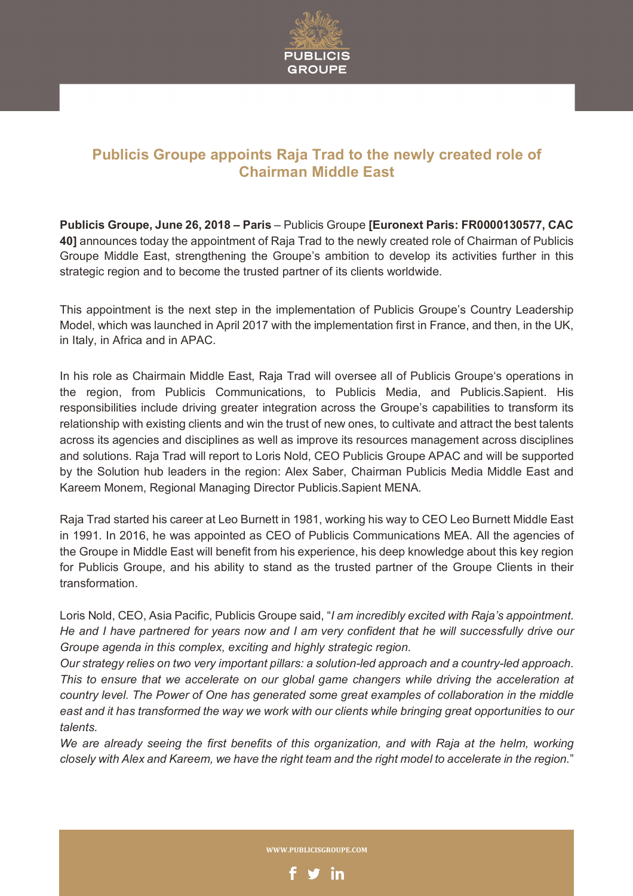

## **Publicis Groupe appoints Raja Trad to the newly created role of Chairman Middle East**

**Publicis Groupe, June 26, 2018 – Paris** – Publicis Groupe **[Euronext Paris: FR0000130577, CAC 40]** announces today the appointment of Raja Trad to the newly created role of Chairman of Publicis Groupe Middle East, strengthening the Groupe's ambition to develop its activities further in this strategic region and to become the trusted partner of its clients worldwide.

This appointment is the next step in the implementation of Publicis Groupe's Country Leadership Model, which was launched in April 2017 with the implementation first in France, and then, in the UK, in Italy, in Africa and in APAC.

In his role as Chairmain Middle East, Raja Trad will oversee all of Publicis Groupe's operations in the region, from Publicis Communications, to Publicis Media, and Publicis.Sapient. His responsibilities include driving greater integration across the Groupe's capabilities to transform its relationship with existing clients and win the trust of new ones, to cultivate and attract the best talents across its agencies and disciplines as well as improve its resources management across disciplines and solutions. Raja Trad will report to Loris Nold, CEO Publicis Groupe APAC and will be supported by the Solution hub leaders in the region: Alex Saber, Chairman Publicis Media Middle East and Kareem Monem, Regional Managing Director Publicis.Sapient MENA.

Raja Trad started his career at Leo Burnett in 1981, working his way to CEO Leo Burnett Middle East in 1991. In 2016, he was appointed as CEO of Publicis Communications MEA. All the agencies of the Groupe in Middle East will benefit from his experience, his deep knowledge about this key region for Publicis Groupe, and his ability to stand as the trusted partner of the Groupe Clients in their transformation.

Loris Nold, CEO, Asia Pacific, Publicis Groupe said, "*I am incredibly excited with Raja's appointment. He and I have partnered for years now and I am very confident that he will successfully drive our Groupe agenda in this complex, exciting and highly strategic region.* 

*Our strategy relies on two very important pillars: a solution-led approach and a country-led approach. This to ensure that we accelerate on our global game changers while driving the acceleration at country level. The Power of One has generated some great examples of collaboration in the middle east and it has transformed the way we work with our clients while bringing great opportunities to our talents.* 

*We are already seeing the first benefits of this organization, and with Raja at the helm, working closely with Alex and Kareem, we have the right team and the right model to accelerate in the region.*"

WWW.PUBLICISGROUPE.COM

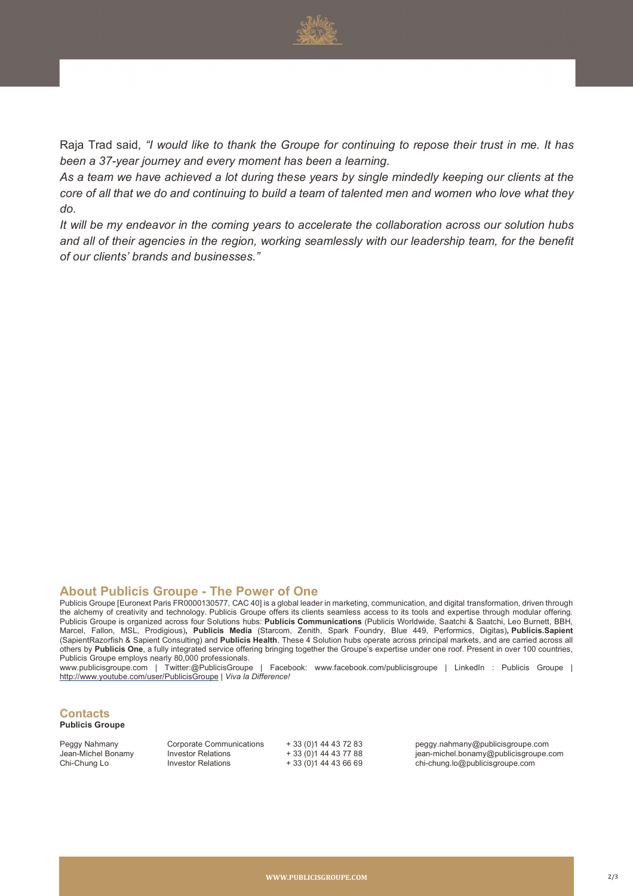

Raja Trad said, *"I would like to thank the Groupe for continuing to repose their trust in me. It has been a 37-year journey and every moment has been a learning.*

*As a team we have achieved a lot during these years by single mindedly keeping our clients at the core of all that we do and continuing to build a team of talented men and women who love what they do.*

*It will be my endeavor in the coming years to accelerate the collaboration across our solution hubs and all of their agencies in the region, working seamlessly with our leadership team, for the benefit of our clients' brands and businesses."*

## **About Publicis Groupe - The Power of One**

Publicis Groupe [Euronext Paris FR0000130577, CAC 40] is a global leader in marketing, communication, and digital transformation, driven through the alchemy of creativity and technology. Publicis Groupe offers its clients seamless access to its tools and expertise through modular offering. Publicis Groupe is organized across four Solutions hubs: **Publicis Communications** (Publicis Worldwide, Saatchi & Saatchi, Leo Burnett, BBH, Marcel, Fallon, MSL, Prodigious)**, Publicis Media** (Starcom, Zenith, Spark Foundry, Blue 449, Performics, Digitas)**, Publicis.Sapient**  (SapientRazorfish & Sapient Consulting) and **Publicis Health**. These 4 Solution hubs operate across principal markets, and are carried across all others by **Publicis One**, a fully integrated service offering bringing together the Groupe's expertise under one roof. Present in over 100 countries, Publicis Groupe employs nearly 80,000 professionals.

www.publicisgroupe.com | Twitter:@PublicisGroupe | Facebook: www.facebook.com/publicisgroupe | LinkedIn : Publicis Groupe | http://www.youtube.com/user/PublicisGroupe | *Viva la Difference!*

## **Contacts**

## **Publicis Groupe**

| Peggy Nahmany      | Corporate Communications  | + 33 (0)1 44 43 72 83  | peggy.nahmany@publicisgroupe.com      |
|--------------------|---------------------------|------------------------|---------------------------------------|
| Jean-Michel Bonamy | <b>Investor Relations</b> | + 33 (0) 1 44 43 77 88 | jean-michel.bonamy@publicisgroupe.com |
| Chi-Chung Lo       | Investor Relations        | + 33 (0) 1 44 43 66 69 | chi-chung.lo@publicisgroupe.com       |